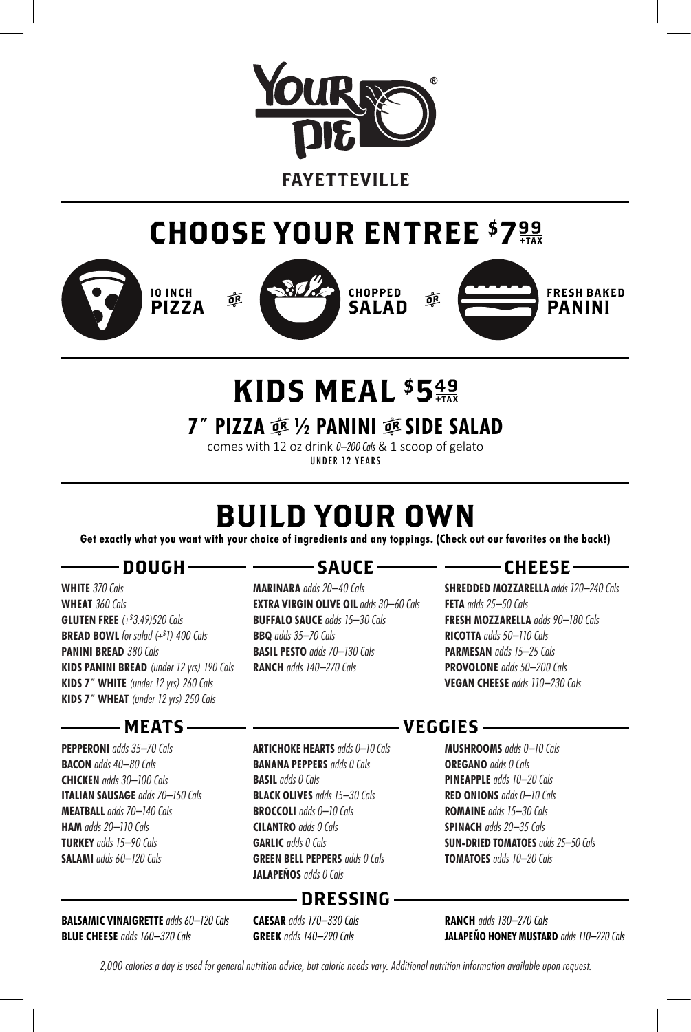

FAYETTEVILLE

## CHOOSE YOUR ENTREE \$7%







## KIDS MEAL \$549

**7<sup>***″***</sup> PIZZA 亟 ½ PANINI 亟 SIDE SALAD** 

comes with 12 oz drink 0-200 Cals & 1 scoop of gelato UNDER 12 YEARS

## BUILD YOUR OWN

**Get exactly what you want with your choice of ingredients and any toppings. (Check out our favorites on the back!)**

### – DOUGH –

**WHITE** 370 Cals **WHEAT** 360 Cals **GLUTEN FREE** (+\$ 3.49)520 Cals **BREAD BOWL** for salad (+\$1) 400 Cals **PANINI BREAD 380 Cals KIDS PANINI BREAD** (under 12 yrs) 190 Cals **KIDS 7˝ WHITE** (under 12 yrs) 260 Cals **KIDS 7˝ WHEAT** (under 12 yrs) 250 Cals

### -MEATS-

**PEPPERONI** adds 35–70 Cals **BACON** adds 40–80 Cals **CHICKEN** adds 30–100 Cals **ITALIAN SAUSAGE** adds 70–150 Cals **MEATBALL** adds 70–140 Cals **HAM** adds 20–110 Cals **TURKEY** adds 15–90 Cals **SALAMI** adds 60–120 Cals

**BALSAMIC VINAIGRETTE** adds 60–120 Cals **BLUE CHEESE** adds 160–320 Cals

### – SAUCE –

**MARINARA** adds 20–40 Cals **EXTRA VIRGIN OLIVE OIL** adds 30-60 Cals **BUFFALO SAUCE** adds 15–30 Cals **BBQ** adds 35–70 Cals **BASIL PESTO** adds 70–130 Cals **RANCH** adds 140–270 Cals

### –CHEESE–

**SHREDDED MOZZARELLA** adds 120–240 Cals **FETA** adds 25–50 Cals **FRESH MOZZARELLA** adds 90–180 Cals **RICOTTA** adds 50–110 Cals **PARMESAN** adds 15–25 Cals **PROVOLONE** adds 50–200 Cals **VEGAN CHEESE** adds 110–230 Cals

**ARTICHOKE HEARTS** adds 0–10 Cals **BANANA PEPPERS** adds 0 Cals **BASIL** adds 0 Cals **BLACK OLIVES** adds 15–30 Cals **BROCCOLI** adds 0–10 Cals **CILANTRO** adds 0 Cals **GARLIC** adds 0 Cals **GREEN BELL PEPPERS** adds 0 Cals **JALAPEÑOS** adds 0 Cals

## DRESSING

**CAESAR** adds 170–330 Cals **GREEK** adds 140–290 Cals

## VEGGIES

**MUSHROOMS** adds 0–10 Cals **OREGANO** adds 0 Cals **PINEAPPLE** adds 10–20 Cals **RED ONIONS** adds 0–10 Cals **ROMAINE** adds 15–30 Cals **SPINACH** adds 20–35 Cals **SUN-DRIED TOMATOES** adds 25–50 Cals **TOMATOES** adds 10–20 Cals

**RANCH** adds 130–270 Cals **JALAPEÑO HONEY MUSTARD** adds 110–220 Cals

2,000 calories a day is used for general nutrition advice, but calorie needs vary. Additional nutrition information available upon request.